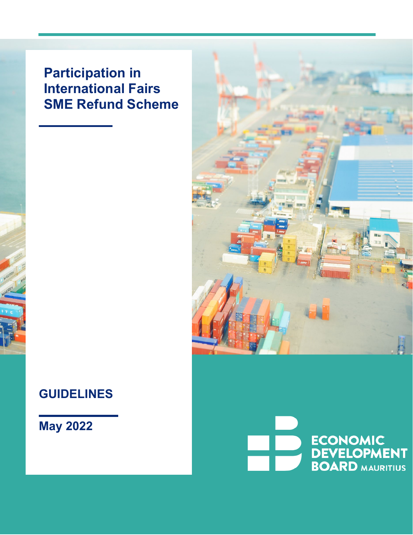# **Participation in International Fairs SME Refund Scheme**

# **GUIDELINES**

# **May 2022**

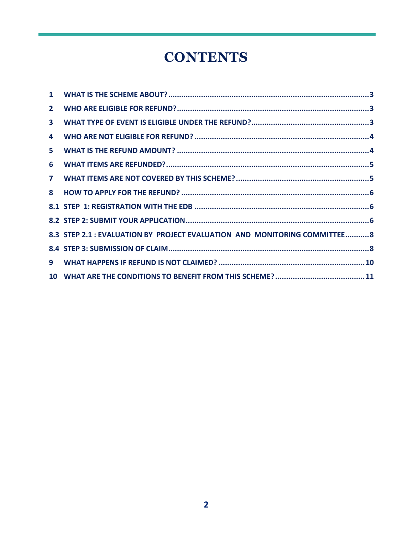# **CONTENTS**

| $\mathbf{2}$ |                                                                           |  |
|--------------|---------------------------------------------------------------------------|--|
| $\mathbf{3}$ |                                                                           |  |
| 4            |                                                                           |  |
| 5            |                                                                           |  |
| 6            |                                                                           |  |
| $\mathbf{7}$ |                                                                           |  |
| 8            |                                                                           |  |
|              |                                                                           |  |
|              |                                                                           |  |
|              | 8.3 STEP 2.1 : EVALUATION BY PROJECT EVALUATION AND MONITORING COMMITTEE8 |  |
|              |                                                                           |  |
|              |                                                                           |  |
|              |                                                                           |  |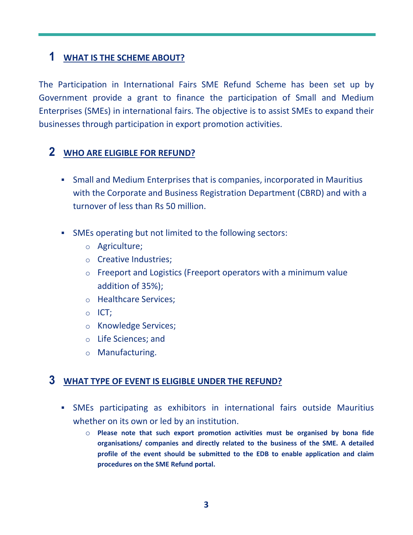# <span id="page-2-0"></span>**1 WHAT IS THE SCHEME ABOUT?**

The Participation in International Fairs SME Refund Scheme has been set up by Government provide a grant to finance the participation of Small and Medium Enterprises (SMEs) in international fairs. The objective is to assist SMEs to expand their businesses through participation in export promotion activities.

# <span id="page-2-1"></span>**2 WHO ARE ELIGIBLE FOR REFUND?**

- Small and Medium Enterprises that is companies, incorporated in Mauritius with the Corporate and Business Registration Department (CBRD) and with a turnover of less than Rs 50 million.
- SMEs operating but not limited to the following sectors:
	- o Agriculture;
	- o Creative Industries;
	- o Freeport and Logistics (Freeport operators with a minimum value addition of 35%);
	- o Healthcare Services;
	- o ICT;
	- o Knowledge Services;
	- o Life Sciences; and
	- o Manufacturing.

#### <span id="page-2-2"></span>**3 WHAT TYPE OF EVENT IS ELIGIBLE UNDER THE REFUND?**

- SMEs participating as exhibitors in international fairs outside Mauritius whether on its own or led by an institution.
	- o **Please note that such export promotion activities must be organised by bona fide organisations/ companies and directly related to the business of the SME. A detailed profile of the event should be submitted to the EDB to enable application and claim procedures on the SME Refund portal.**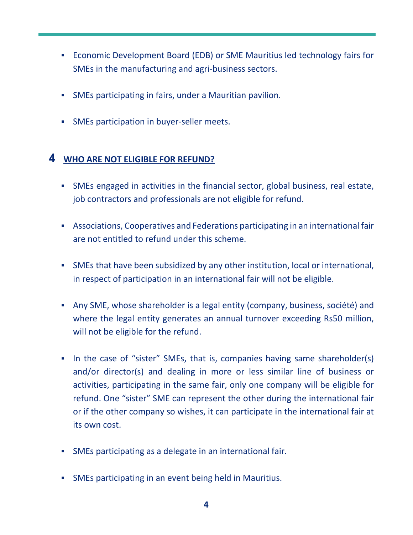- Economic Development Board (EDB) or SME Mauritius led technology fairs for SMEs in the manufacturing and agri-business sectors.
- SMEs participating in fairs, under a Mauritian pavilion.
- **SMEs participation in buyer-seller meets.**

### <span id="page-3-0"></span>**4 WHO ARE NOT ELIGIBLE FOR REFUND?**

- SMEs engaged in activities in the financial sector, global business, real estate, job contractors and professionals are not eligible for refund.
- Associations, Cooperatives and Federations participating in an international fair are not entitled to refund under this scheme.
- SMEs that have been subsidized by any other institution, local or international, in respect of participation in an international fair will not be eligible.
- Any SME, whose shareholder is a legal entity (company, business, société) and where the legal entity generates an annual turnover exceeding Rs50 million, will not be eligible for the refund.
- In the case of "sister" SMEs, that is, companies having same shareholder(s) and/or director(s) and dealing in more or less similar line of business or activities, participating in the same fair, only one company will be eligible for refund. One "sister" SME can represent the other during the international fair or if the other company so wishes, it can participate in the international fair at its own cost.
- SMEs participating as a delegate in an international fair.
- SMEs participating in an event being held in Mauritius.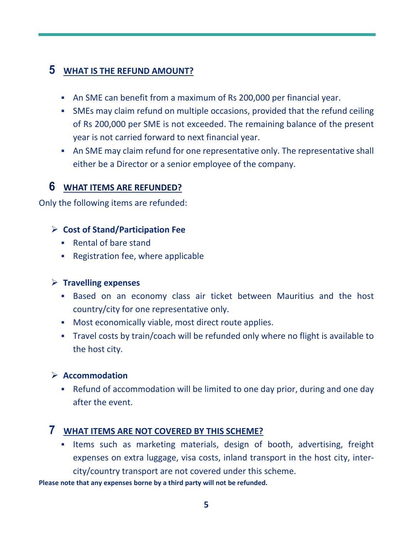## <span id="page-4-0"></span>**5 WHAT IS THE REFUND AMOUNT?**

- An SME can benefit from a maximum of Rs 200,000 per financial year.
- SMEs may claim refund on multiple occasions, provided that the refund ceiling of Rs 200,000 per SME is not exceeded. The remaining balance of the present year is not carried forward to next financial year.
- An SME may claim refund for one representative only. The representative shall either be a Director or a senior employee of the company.

## <span id="page-4-1"></span>**6 WHAT ITEMS ARE REFUNDED?**

Only the following items are refunded:

### **Cost of Stand/Participation Fee**

- Rental of bare stand
- Registration fee, where applicable

#### **Travelling expenses**

- Based on an economy class air ticket between Mauritius and the host country/city for one representative only.
- Most economically viable, most direct route applies.
- Travel costs by train/coach will be refunded only where no flight is available to the host city.

#### **Accommodation**

 Refund of accommodation will be limited to one day prior, during and one day after the event.

## <span id="page-4-2"></span>**7 WHAT ITEMS ARE NOT COVERED BY THIS SCHEME?**

**Items such as marketing materials, design of booth, advertising, freight** expenses on extra luggage, visa costs, inland transport in the host city, intercity/country transport are not covered under this scheme.

**Please note that any expenses borne by a third party will not be refunded.**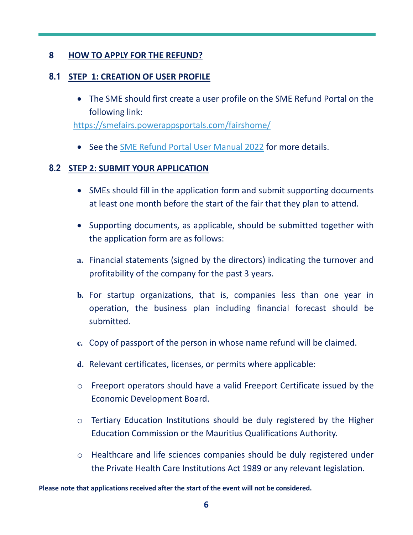#### <span id="page-5-0"></span>**8 HOW TO APPLY FOR THE REFUND?**

#### <span id="page-5-1"></span>**8.1 STEP 1: CREATION OF USER PROFILE**

• The SME should first create a user profile on the SME Refund Portal on the following link:

<https://smefairs.powerappsportals.com/fairshome/>

• See the [SME Refund Portal User Manual 2022](https://www.edbmauritius.org/sites/default/files/2022-05/SME%20REFUND%20PORTAL%20USER%20MANUAL%202022.pdf) for more details.

#### <span id="page-5-2"></span>**8.2 STEP 2: SUBMIT YOUR APPLICATION**

- SMEs should fill in the application form and submit supporting documents at least one month before the start of the fair that they plan to attend.
- Supporting documents, as applicable, should be submitted together with the application form are as follows:
- **a.** Financial statements (signed by the directors) indicating the turnover and profitability of the company for the past 3 years.
- **b.** For startup organizations, that is, companies less than one year in operation, the business plan including financial forecast should be submitted.
- **c.** Copy of passport of the person in whose name refund will be claimed.
- **d.** Relevant certificates, licenses, or permits where applicable:
- o Freeport operators should have a valid Freeport Certificate issued by the Economic Development Board.
- o Tertiary Education Institutions should be duly registered by the Higher Education Commission or the Mauritius Qualifications Authority.
- o Healthcare and life sciences companies should be duly registered under the Private Health Care Institutions Act 1989 or any relevant legislation.

**Please note that applications received after the start of the event will not be considered.**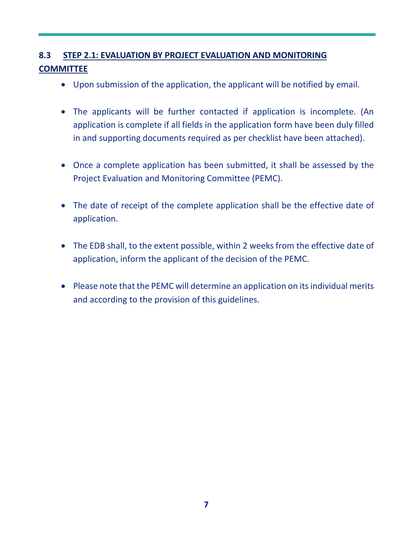# **8.3 STEP 2.1: EVALUATION BY PROJECT EVALUATION AND MONITORING COMMITTEE**

- Upon submission of the application, the applicant will be notified by email.
- The applicants will be further contacted if application is incomplete. (An application is complete if all fields in the application form have been duly filled in and supporting documents required as per checklist have been attached).
- Once a complete application has been submitted, it shall be assessed by the Project Evaluation and Monitoring Committee (PEMC).
- The date of receipt of the complete application shall be the effective date of application.
- The EDB shall, to the extent possible, within 2 weeks from the effective date of application, inform the applicant of the decision of the PEMC.
- Please note that the PEMC will determine an application on its individual merits and according to the provision of this guidelines.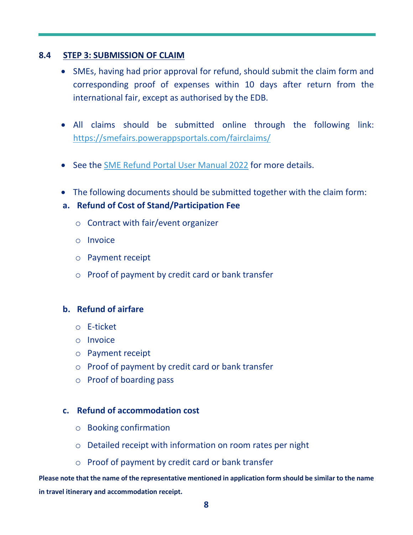#### **8.4 STEP 3: SUBMISSION OF CLAIM**

- SMEs, having had prior approval for refund, should submit the claim form and corresponding proof of expenses within 10 days after return from the international fair, except as authorised by the EDB.
- All claims should be submitted online through the following link: <https://smefairs.powerappsportals.com/fairclaims/>
- See the [SME Refund Portal User Manual 2022](https://www.edbmauritius.org/sites/default/files/2022-05/SME%20REFUND%20PORTAL%20USER%20MANUAL%202022.pdf) for more details.
- The following documents should be submitted together with the claim form:
- **a. Refund of Cost of Stand/Participation Fee**
	- o Contract with fair/event organizer
	- o Invoice
	- o Payment receipt
	- o Proof of payment by credit card or bank transfer

#### **b. Refund of airfare**

- o E-ticket
- o Invoice
- o Payment receipt
- o Proof of payment by credit card or bank transfer
- o Proof of boarding pass

#### **c. Refund of accommodation cost**

- o Booking confirmation
- o Detailed receipt with information on room rates per night
- o Proof of payment by credit card or bank transfer

**Please note that the name of the representative mentioned in application form should be similar to the name in travel itinerary and accommodation receipt.**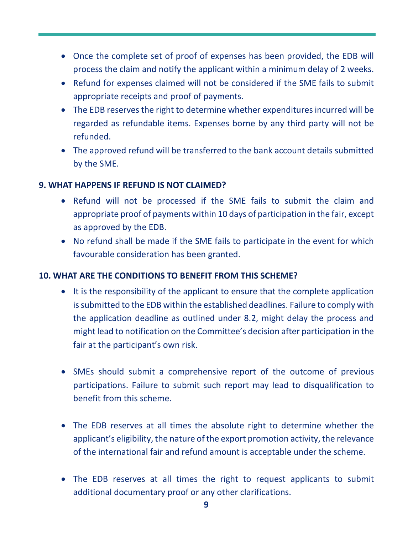- Once the complete set of proof of expenses has been provided, the EDB will process the claim and notify the applicant within a minimum delay of 2 weeks.
- Refund for expenses claimed will not be considered if the SME fails to submit appropriate receipts and proof of payments.
- The EDB reserves the right to determine whether expenditures incurred will be regarded as refundable items. Expenses borne by any third party will not be refunded.
- The approved refund will be transferred to the bank account details submitted by the SME.

#### <span id="page-8-0"></span>**9. WHAT HAPPENS IF REFUND IS NOT CLAIMED?**

- Refund will not be processed if the SME fails to submit the claim and appropriate proof of payments within 10 days of participation in the fair, except as approved by the EDB.
- No refund shall be made if the SME fails to participate in the event for which favourable consideration has been granted.

#### <span id="page-8-1"></span>**10. WHAT ARE THE CONDITIONS TO BENEFIT FROM THIS SCHEME?**

- It is the responsibility of the applicant to ensure that the complete application is submitted to the EDB within the established deadlines. Failure to comply with the application deadline as outlined under 8.2, might delay the process and might lead to notification on the Committee's decision after participation in the fair at the participant's own risk.
- SMEs should submit a comprehensive report of the outcome of previous participations. Failure to submit such report may lead to disqualification to benefit from this scheme.
- The EDB reserves at all times the absolute right to determine whether the applicant's eligibility, the nature of the export promotion activity, the relevance of the international fair and refund amount is acceptable under the scheme.
- The EDB reserves at all times the right to request applicants to submit additional documentary proof or any other clarifications.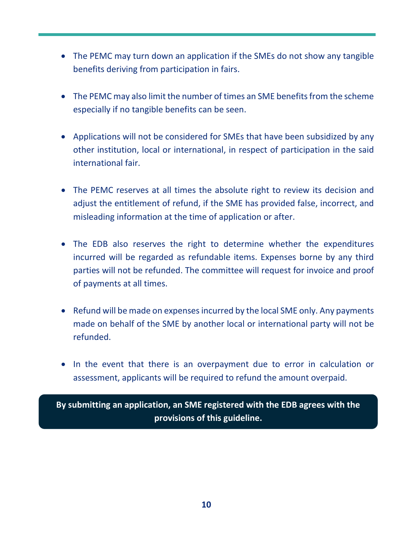- The PEMC may turn down an application if the SMEs do not show any tangible benefits deriving from participation in fairs.
- The PEMC may also limit the number of times an SME benefits from the scheme especially if no tangible benefits can be seen.
- Applications will not be considered for SMEs that have been subsidized by any other institution, local or international, in respect of participation in the said international fair.
- The PEMC reserves at all times the absolute right to review its decision and adjust the entitlement of refund, if the SME has provided false, incorrect, and misleading information at the time of application or after.
- The EDB also reserves the right to determine whether the expenditures incurred will be regarded as refundable items. Expenses borne by any third parties will not be refunded. The committee will request for invoice and proof of payments at all times.
- Refund will be made on expenses incurred by the local SME only. Any payments made on behalf of the SME by another local or international party will not be refunded.
- In the event that there is an overpayment due to error in calculation or assessment, applicants will be required to refund the amount overpaid.

**By submitting an application, an SME registered with the EDB agrees with the provisions of this guideline.**